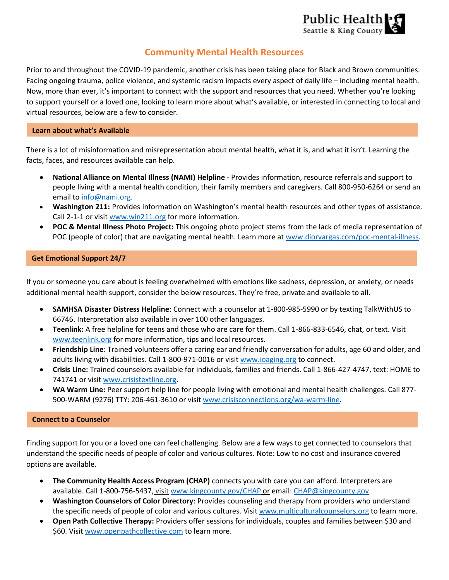

# **Community Mental Health Resources**

Prior to and throughout the COVID-19 pandemic, another crisis has been taking place for Black and Brown communities. Facing ongoing trauma, police violence, and systemic racism impacts every aspect of daily life – including mental health. Now, more than ever, it's important to connect with the support and resources that you need. Whether you're looking to support yourself or a loved one, looking to learn more about what's available, or interested in connecting to local and virtual resources, below are a few to consider.

### **Learn about what's Available**

There is a lot of misinformation and misrepresentation about mental health, what it is, and what it isn't. Learning the facts, faces, and resources available can help.

- **National Alliance on Mental Illness (NAMI) Helpline** Provides information, resource referrals and support to people living with a mental health condition, their family members and caregivers. Call 800-950-6264 or send an email to [info@nami.org.](mailto:info@nami.org)
- **Washington 211:** Provides information on Washington's mental health resources and other types of assistance. Call 2-1-1 or visit [www.win211.org](https://www.win211.org/) for more information.
- **POC & Mental Illness Photo Project:** This ongoing photo project stems from the lack of media representation of POC (people of color) that are navigating mental health. Learn more at [www.diorvargas.com/poc-mental-illness.](http://diorvargas.com/poc-mental-illness)

# **Get Emotional Support 24/7**

If you or someone you care about is feeling overwhelmed with emotions like sadness, depression, or anxiety, or needs additional mental health support, consider the below resources. They're free, private and available to all.

- **SAMHSA Disaster Distress Helpline**: Connect with a counselor at 1-800-985-5990 or by texting TalkWithUS to 66746. Interpretation also available in over 100 other languages.
- **Teenlink:** A free helpline for teens and those who are care for them. Call 1-866-833-6546, chat, or text. Visit [www.teenlink.org](https://www.teenlink.org/) for more information, tips and local resources.
- **Friendship Line**: Trained volunteers offer a caring ear and friendly conversation for adults, age 60 and older, and adults living with disabilities. Call 1-800-971-0016 or visit [www.ioaging.org](http://www.ioaging.org/) to connect.
- **Crisis Line:** Trained counselors available for individuals, families and friends. Call 1-866-427-4747, text: HOME to 741741 or visit [www.crisistextline.org.](https://www.crisistextline.org/)
- **WA Warm Line:** Peer support help line for people living with emotional and mental health challenges. Call 877- 500-WARM (9276) TTY: 206-461-3610 or visi[t www.crisisconnections.org/wa-warm-line.](https://gcc01.safelinks.protection.outlook.com/?url=https%3A%2F%2Fwww.crisisconnections.org%2Fwa-warm-line%2F&data=02%7C01%7Cshjohnson%40kingcounty.gov%7Cecad024081d04b6d160a08d807180c18%7Cbae5059a76f049d7999672dfe95d69c7%7C0%7C0%7C637267147152491761&sdata=ZBW%2BMqKu0YinnN81kz9BQu6oppCwPfl5Kpnupf2%2F9%2Fg%3D&reserved=0)

# **Connect to a Counselor**

Finding support for you or a loved one can feel challenging. Below are a few ways to get connected to counselors that understand the specific needs of people of color and various cultures. Note: Low to no cost and insurance covered options are available.

- **The Community Health Access Program (CHAP)** connects you with care you can afford. Interpreters are available. Call 1-800-756-5437, visit [www.kingcounty.gov/CHAP](http://www.kingcounty.gov/CHAP) or email[: CHAP@kingcounty.gov](mailto:CHAP@kingcounty.gov)
- **Washington Counselors of Color Directory**: Provides counseling and therapy from providers who understand the specific needs of people of color and various cultures. Visit [www.multiculturalcounselors.org](http://www.multiculturalcounselors.org/) to learn more.
- **Open Path Collective Therapy:** Providers offer sessions for individuals, couples and families between \$30 and \$60. Visit [www.openpathcollective.com](http://www.openpathcollective.com/) to learn more.